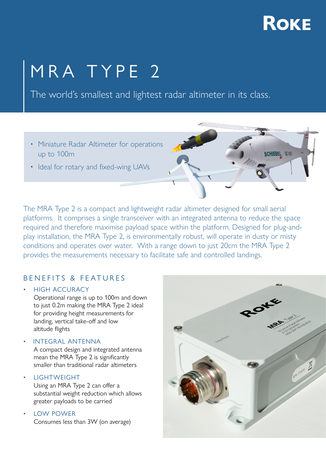## **ROKE**

**SCHIEBEL** DE-VXX

# MRA TYPE 2

The world's smallest and lightest radar altimeter in its class.

- Miniature Radar Altimeter for operations up to 100m
- Ideal for rotary and fixed-wing UAVs

The MRA Type 2 is a compact and lightweight radar altimeter designed for small aerial platforms. It comprises a single transceiver with an integrated antenna to reduce the space required and therefore maximise payload space within the platform. Designed for plug-andplay installation, the MRA Type 2, is environmentally robust, will operate in dusty or misty conditions and operates over water. With a range down to just 20cm the MRA Type 2 provides the measurements necessary to facilitate safe and controlled landings.

### BENEFITS & FEATURES

• HIGH ACCURACY

Operational range is up to 100m and down to just 0.2m making the MRA Type 2 ideal for providing height measurements for landing, vertical take-off and low altitude flights

• INTEGRAL ANTENNA A compact design and integrated antenna mean the MRA Type 2 is significantly smaller than traditional radar altimeters

**LIGHTWEIGHT** 

 Using an MRA Type 2 can offer a substantial weight reduction which allows greater payloads to be carried

• LOW POWER Consumes less than 3W (on average)